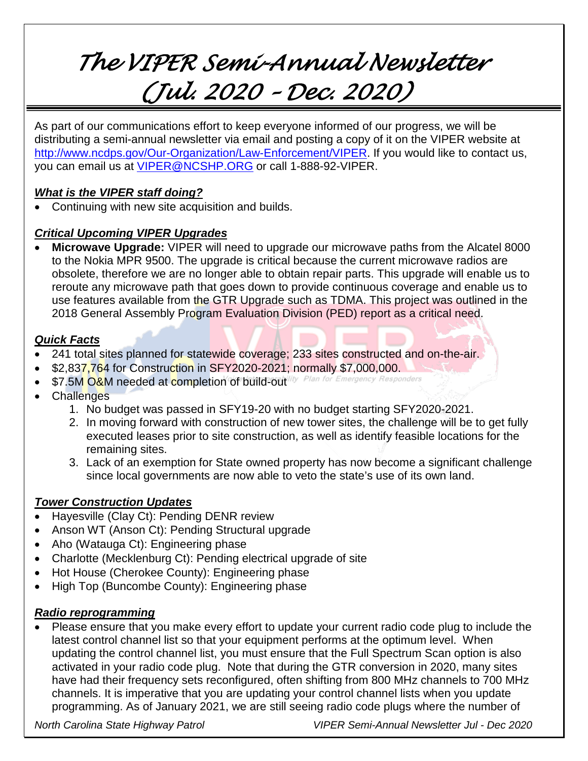# *The VIPER Semi-Annual Newsletter (Jul. 2020 – Dec. 2020)*

As part of our communications effort to keep everyone informed of our progress, we will be distributing a semi-annual newsletter via email and posting a copy of it on the VIPER website at [http://www.ncdps.gov/Our-Organization/Law-Enforcement/VIPER.](http://www.ncdps.gov/Our-Organization/Law-Enforcement/VIPER) If you would like to contact us, you can email us at [VIPER@NCSHP.ORG](mailto:VIPER@NCSHP.ORG) or call 1-888-92-VIPER.

### *What is the VIPER staff doing?*

• Continuing with new site acquisition and builds.

## *Critical Upcoming VIPER Upgrades*

• **Microwave Upgrade:** VIPER will need to upgrade our microwave paths from the Alcatel 8000 to the Nokia MPR 9500. The upgrade is critical because the current microwave radios are obsolete, therefore we are no longer able to obtain repair parts. This upgrade will enable us to reroute any microwave path that goes down to provide continuous coverage and enable us to use features available from the GTR Upgrade such as TDMA. This project was outlined in the 2018 General Assembly Program Evaluation Division (PED) report as a critical need.

### *Quick Facts*

- 241 total sites planned for statewide coverage; 233 sites constructed and on-the-air.
- \$2,837,764 for Construction in SFY2020-2021; normally \$7,000,000.
- \$7.5M O&M needed at completion of build-outlity Plan for Emergency Responders
- **Challenges** 
	- 1. No budget was passed in SFY19-20 with no budget starting SFY2020-2021.
	- 2. In moving forward with construction of new tower sites, the challenge will be to get fully executed leases prior to site construction, as well as identify feasible locations for the remaining sites.
	- 3. Lack of an exemption for State owned property has now become a significant challenge since local governments are now able to veto the state's use of its own land.

## *Tower Construction Updates*

- Hayesville (Clay Ct): Pending DENR review
- Anson WT (Anson Ct): Pending Structural upgrade
- Aho (Watauga Ct): Engineering phase
- Charlotte (Mecklenburg Ct): Pending electrical upgrade of site
- Hot House (Cherokee County): Engineering phase
- High Top (Buncombe County): Engineering phase

### *Radio reprogramming*

• Please ensure that you make every effort to update your current radio code plug to include the latest control channel list so that your equipment performs at the optimum level. When updating the control channel list, you must ensure that the Full Spectrum Scan option is also activated in your radio code plug. Note that during the GTR conversion in 2020, many sites have had their frequency sets reconfigured, often shifting from 800 MHz channels to 700 MHz channels. It is imperative that you are updating your control channel lists when you update programming. As of January 2021, we are still seeing radio code plugs where the number of

*North Carolina State Highway Patrol VIPER Semi-Annual Newsletter Jul - Dec 2020*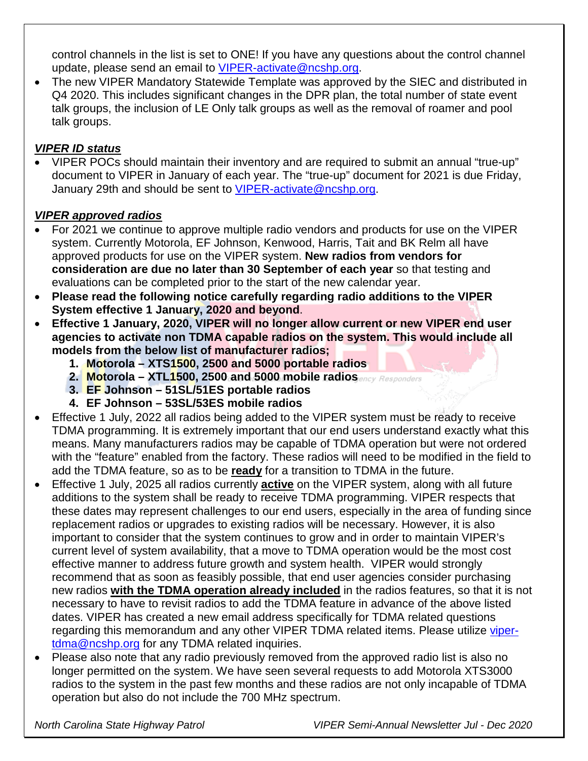control channels in the list is set to ONE! If you have any questions about the control channel update, please send an email to [VIPER-activate@ncshp.org.](mailto:VIPER-activate@ncshp.org)

• The new VIPER Mandatory Statewide Template was approved by the SIEC and distributed in Q4 2020. This includes significant changes in the DPR plan, the total number of state event talk groups, the inclusion of LE Only talk groups as well as the removal of roamer and pool talk groups.

## *VIPER ID status*

• VIPER POCs should maintain their inventory and are required to submit an annual "true-up" document to VIPER in January of each year. The "true-up" document for 2021 is due Friday, January 29th and should be sent to [VIPER-activate@ncshp.org.](mailto:VIPER-activate@ncshp.org)

### *VIPER approved radios*

- For 2021 we continue to approve multiple radio vendors and products for use on the VIPER system. Currently Motorola, EF Johnson, Kenwood, Harris, Tait and BK Relm all have approved products for use on the VIPER system. **New radios from vendors for consideration are due no later than 30 September of each year** so that testing and evaluations can be completed prior to the start of the new calendar year.
- **Please read the following notice carefully regarding radio additions to the VIPER System effective 1 January, 2020 and beyond**.
- **Effective 1 January, 2020, VIPER will no longer allow current or new VIPER end user agencies to activate non TDMA capable radios on the system. This would include all models from the below list of manufacturer radios;**
	- **1. Motorola – XTS1500, 2500 and 5000 portable radios**
	- **2. Motorola – XTL1500, 2500 and 5000 mobile radios**
	- **3. EF Johnson – 51SL/51ES portable radios**
	- **4. EF Johnson – 53SL/53ES mobile radios**
- Effective 1 July, 2022 all radios being added to the VIPER system must be ready to receive TDMA programming. It is extremely important that our end users understand exactly what this means. Many manufacturers radios may be capable of TDMA operation but were not ordered with the "feature" enabled from the factory. These radios will need to be modified in the field to add the TDMA feature, so as to be **ready** for a transition to TDMA in the future.
- Effective 1 July, 2025 all radios currently **active** on the VIPER system, along with all future additions to the system shall be ready to receive TDMA programming. VIPER respects that these dates may represent challenges to our end users, especially in the area of funding since replacement radios or upgrades to existing radios will be necessary. However, it is also important to consider that the system continues to grow and in order to maintain VIPER's current level of system availability, that a move to TDMA operation would be the most cost effective manner to address future growth and system health. VIPER would strongly recommend that as soon as feasibly possible, that end user agencies consider purchasing new radios **with the TDMA operation already included** in the radios features, so that it is not necessary to have to revisit radios to add the TDMA feature in advance of the above listed dates. VIPER has created a new email address specifically for TDMA related questions regarding this memorandum and any other VIPER TDMA related items. Please utilize [viper](mailto:viper-tdma@ncshp.org)[tdma@ncshp.org](mailto:viper-tdma@ncshp.org) for any TDMA related inquiries.
- Please also note that any radio previously removed from the approved radio list is also no longer permitted on the system. We have seen several requests to add Motorola XTS3000 radios to the system in the past few months and these radios are not only incapable of TDMA operation but also do not include the 700 MHz spectrum.

*North Carolina State Highway Patrol VIPER Semi-Annual Newsletter Jul - Dec 2020*